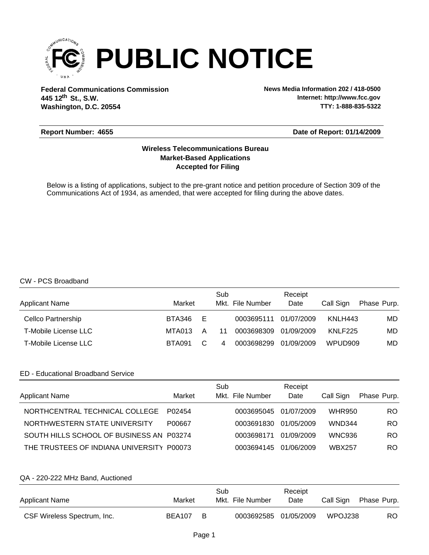

**Federal Communications Commission News Media Information 202 / 418-0500 Washington, D.C. 20554 th 445 12 St., S.W.**

**Internet: http://www.fcc.gov TTY: 1-888-835-5322**

#### **Report Number: 4655**

# **Date of Report: 01/14/2009**

# **Accepted for Filing Market-Based Applications Wireless Telecommunications Bureau**

Below is a listing of applications, subject to the pre-grant notice and petition procedure of Section 309 of the Communications Act of 1934, as amended, that were accepted for filing during the above dates.

#### CW - PCS Broadband

| <b>Applicant Name</b>       | Market |    | Sub | Mkt. File Number | Receipt<br>Date | Call Sign | Phase Purp. |
|-----------------------------|--------|----|-----|------------------|-----------------|-----------|-------------|
| Cellco Partnership          | BTA346 | Е  |     | 0003695111       | 01/07/2009      | KNLH443   | MD.         |
| <b>T-Mobile License LLC</b> | MTA013 | A  | 11  | 0003698309       | 01/09/2009      | KNLF225   | MD.         |
| <b>T-Mobile License LLC</b> | BTA091 | C. | 4   | 0003698299       | 01/09/2009      | WPUD909   | MD.         |

## ED - Educational Broadband Service

| <b>Applicant Name</b>                     | Market | Sub<br>Mkt. File Number | Receipt<br>Date | Call Sign     | Phase Purp. |
|-------------------------------------------|--------|-------------------------|-----------------|---------------|-------------|
| NORTHCENTRAL TECHNICAL COLLEGE            | P02454 | 0003695045              | 01/07/2009      | <b>WHR950</b> | RO.         |
| NORTHWESTERN STATE UNIVERSITY             | P00667 | 0003691830              | 01/05/2009      | <b>WND344</b> | RO.         |
| SOUTH HILLS SCHOOL OF BUSINESS AN P03274  |        | 0003698171              | 01/09/2009      | <b>WNC936</b> | RO.         |
| THE TRUSTEES OF INDIANA UNIVERSITY P00073 |        | 0003694145              | 01/06/2009      | <b>WBX257</b> | RO.         |

## QA - 220-222 MHz Band, Auctioned

| <b>Applicant Name</b>       | Market |     | Sub<br>Mkt. File Number | Receipt<br>Date | Call Sign | Phase Purp. |
|-----------------------------|--------|-----|-------------------------|-----------------|-----------|-------------|
| CSF Wireless Spectrum, Inc. | BEA107 | - B | 0003692585 01/05/2009   |                 | WPOJ238   | RO          |